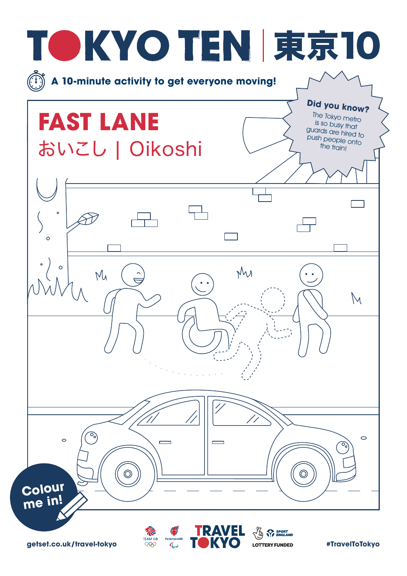